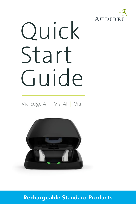

# Quick Start Guide

Via Edge AI | Via AI | Via



Rechargeable Standard Products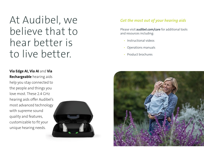At Audibel, we believe that to hear better is to live better.

## *Get the most out of your hearing aids*

Please visit **audibel.com/care** for additional tools and resources including:

- Instructional videos
- Operations manuals
- Product brochures

**Via Edge AI, Via AI** and **Via Rechargeable** hearing aids help you stay connected to the people and things you love most. These 2.4 GHz hearing aids offer Audibel's most advanced technology with supreme sound quality and features, customizable to fit your unique hearing needs.



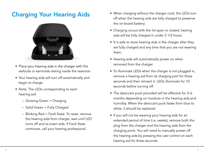## Charging Your Hearing Aids



- Place your hearing aids in the charger with the earbuds or earmolds resting inside the reservoir.
- Your hearing aids will turn off automatically and begin to charge.
- Note: The LEDs corresponding to each hearing aid:
	- Glowing Green = Charging
	- Solid Green = Fully Charged
	- Blinking Red = Fault State. To reset, remove the hearing aids from charger, wait until LED turns off and re-insert aids. If Fault State continues, call your hearing professional.
- When charging without the charger cord, the LEDs turn off when the hearing aids are fully charged to preserve the on-board battery.
- Charging occurs with the lid open or closed; hearing aids will be fully charged in under 3 1/2 hours.
- It is safe to store hearing aids in the charger after they are fully charged and any time that you are not wearing them.
- Hearing aids will automatically power on when removed from the charger.
- To illuminate LEDs when the charger is not plugged in, remove a hearing aid from its charging port for three seconds and then reinsert it. LEDs illuminate for 10 seconds before turning off.
- The desiccant puck provided will be effective for 3–6 months depending on moisture in the hearing aids and humidity. When the desiccant puck fades from blue to white, it should be replaced.
- If you will not be wearing your hearing aids for an extended period of time (i.e, weeks), remove both the plug from the charger and the hearing aids from the charging ports. You will need to manually power off the hearing aids by pressing the user control on each hearing aid for three seconds.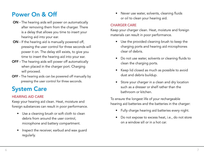# Power On & Off

- ON The hearing aids will power on automatically after removing them from the charger. There is a delay that allows you time to insert your hearing aid into your ear.
- ON If the hearing aid is manually powered off, pressing the user control for three seconds will power it on. The delay still exists, to give you time to insert the hearing aid into your ear.
- OFF The hearing aids will power off automatically when placed in the charger port. Charging will proceed.
- OFF The hearing aids can be powered off manually by pressing the user control for three seconds.

# System Care

## HEARING AID CARE

Keep your hearing aid clean. Heat, moisture and foreign substances can result in poor performance.

- Use a cleaning brush or soft cloth to clean debris from around the user control, microphone and battery compartment.
- Inspect the receiver, earbud and wax guard regularly.

• Never use water, solvents, cleaning fluids or oil to clean your hearing aid.

#### CHARGER CARE

Keep your charger clean. Heat, moisture and foreign materials can result in poor performance.

- Use the provided cleaning brush to keep the charging ports and hearing aid microphones clear of debris.
- Do not use water, solvents or cleaning fluids to clean the charging ports.
- Keep lid closed as much as possible to avoid dust and debris buildup.
- Store your charger in a clean and dry location such as a dresser or shelf rather than the bathroom or kitchen.

To ensure the longest life of your rechargeable hearing aid batteries and the batteries in the charger:

- Fully charge hearing aid batteries every night.
- Do not expose to excess heat, i.e., do not store on a window sill or in a hot car.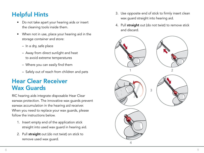# Helpful Hints

- Do not take apart your hearing aids or insert the cleaning tools inside them.
- When not in use, place your hearing aid in the storage container and store:
	- In a dry, safe place
	- Away from direct sunlight and heat to avoid extreme temperatures
	- $-$  Where you can easily find them
	- Safely out of reach from children and pets

# Hear Clear Receiver Wax Guards

RIC hearing aids integrate disposable Hear Clear earwax protection. The innovative wax guards prevent earwax accumulation in the hearing aid receiver. When you need to replace your wax guards, please follow the instructions below.

- 1. Insert empty end of the application stick straight into used wax guard in hearing aid.
- 2. Pull straight out (do not twist) on stick to remove used wax guard.
- 3. Use opposite end of stick to firmly insert clean wax guard straight into hearing aid.
- 4. Pull straight out (do not twist) to remove stick and discard.

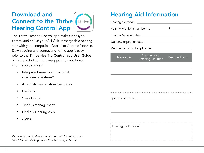# Download and **Connect to the Thrive (thrive)** Hearing Control App



The Thrive Hearing Control app makes it easy to control and adjust your 2.4 GHz rechargeable hearing aids with your compatible Apple® or Android™ device. Downloading and connecting to the app is easy; refer to the Thrive Hearing Control app User Guide or visit audibel.com/thrivesupport for additional information, such as:

- Integrated sensors and artificial intelligence features\*
- Automatic and custom memories
- Geotags
- SoundSpace
- Tinnitus management
- Find My Hearing Aids
- Alerts

*Visit audibel.com/thrivesupport for compatibility information. \*Available with Via Edge AI and Via AI hearing aids only.*

# Hearing Aid Information

|                       | Hearing aid model: <b>Example 2019</b>                                                                                                                                                                                         |                |
|-----------------------|--------------------------------------------------------------------------------------------------------------------------------------------------------------------------------------------------------------------------------|----------------|
|                       |                                                                                                                                                                                                                                |                |
|                       |                                                                                                                                                                                                                                |                |
|                       |                                                                                                                                                                                                                                |                |
|                       |                                                                                                                                                                                                                                |                |
| Memory #              | Environment/<br>Listening Situation                                                                                                                                                                                            | Beep/Indicator |
|                       |                                                                                                                                                                                                                                |                |
|                       |                                                                                                                                                                                                                                |                |
|                       |                                                                                                                                                                                                                                |                |
|                       |                                                                                                                                                                                                                                |                |
|                       | Special instructions: example, the state of the state of the state of the state of the state of the state of the state of the state of the state of the state of the state of the state of the state of the state of the state |                |
|                       |                                                                                                                                                                                                                                |                |
|                       |                                                                                                                                                                                                                                |                |
|                       |                                                                                                                                                                                                                                |                |
| Hearing professional: |                                                                                                                                                                                                                                |                |
|                       |                                                                                                                                                                                                                                |                |
|                       |                                                                                                                                                                                                                                |                |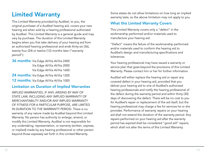# Limited Warranty

This Limited Warranty provided by Audibel, to you, the original purchaser of a Audibel hearing aid, covers your new hearing aid when sold by a hearing professional authorized by Audibel. This Limited Warranty is a general guide and may vary by purchase. The duration of this Limited Warranty begins when you first take delivery of your hearing aid from an authorized hearing professional and ends thirty-six (36), twenty four (24) or twelve (12) months later ("warranty period"):

36 months: Via Edge Al/Via Al/Via 2400 Via Edge AI/Via AI/Via 2000 Via Edge AI/Via AI/Via 1600

24 months: Via Edge Al/Via Al/Via 1200 12 months: Via Edge Al/Via Al/Via 1000

## Limitation on Duration of Implied Warranties

IMPLIED WARRANTIES, IF ANY, ARISING BY WAY OF STATE LAW, INCLUDING ANY IMPLIED WARRANTY OF MERCHANTABILITY AND/OR ANY IMPLIED WARRANTY OF FITNESS FOR A PARTICULAR PURPOSE, ARE LIMITED IN DURATION TO THE WARRANTY PERIOD. There is no warranty of any nature made by Audibel beyond this Limited Warranty. No person has authority to enlarge, amend, or modify this Limited Warranty. Audibel is not responsible for any undertaking, representation, or warranty (written, express, or implied) made by any hearing professional or other person beyond those expressly set forth in this Limited Warranty.

Some states do not allow limitations on how long an implied warranty lasts, so the above limitation may not apply to you.

## What this Limited Warranty Covers

This Limited Warranty covers only a "defect" in the workmanship performed and/or materials used to manufacture your hearing aid.

"Defect" means the failure of the workmanship performed and/or materials used to conform the hearing aid to Audibel's design and manufacturing specifications and tolerances.

Your hearing professional may have issued a warranty or service plan that goes beyond the provisions of this Limited Warranty. Please contact him or her for further information.

Audibel will either replace the hearing aid or repair any covered defect in your hearing aid, provided that you deliver your hearing aid to one of Audibel's authorized hearing professionals and notify the hearing professional of the defect during the warranty period and within thirty (30) days of discovering the defect. There will be no cost to you for Audibel's repair or replacement of the aid itself, but the hearing professional may charge a fee for services he or she provides. Performance of warranty repairs on your hearing aid shall not extend the duration of the warranty period. Any repairs performed on your hearing aid after the warranty period has expired shall be considered "good will" repairs, which shall not alter the terms of this Limited Warranty.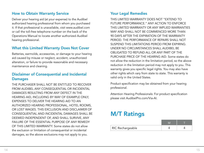## How to Obtain Warranty Service

Deliver your hearing aid (at your expense) to the Audibel authorized hearing professional from whom you purchased it. If that professional is unavailable, visit www.audibel.com or call the toll-free telephone number on the back of the Operations Manual to locate another authorized Audibel hearing professional.

## What this Limited Warranty Does Not Cover

Batteries, earmolds, accessories, or damage to your hearing aid caused by misuse or neglect, accident, unauthorized alteration, or failure to provide reasonable and necessary maintenance and cleaning.

## Disclaimer of Consequential and Incidental **Damages**

THE PURCHASER SHALL NOT BE ENTITLED TO RECOVER FROM AUDIBEL ANY CONSEQUENTIAL OR INCIDENTAL DAMAGES RESULTING FROM ANY DEFECT IN THE HEARING AID, INCLUDING BY WAY OF EXAMPLE ONLY, EXPENSES TO DELIVER THE HEARING AID TO AN AUTHORIZED HEARING PROFESSIONAL, HOTEL ROOMS, OR LOST WAGES. THIS EXCLUSION AND DISCLAIMER OF CONSEQUENTIAL AND INCIDENTAL DAMAGES SHALL BE DEEMED INDEPENDENT OF, AND SHALL SURVIVE, ANY FAILURE OF THE ESSENTIAL PURPOSE OF ANY REMEDY OF THIS LIMITED WARRANTY. Some states do not allow the exclusion or limitation of consequential or incidental damages, so the above exclusions may not apply to you.

## Your Legal Remedies

THIS LIMITED WARRANTY DOES NOT "EXTEND TO FUTURE PERFORMANCE." ANY ACTION TO ENFORCE THIS LIMITED WARRANTY OR ANY IMPLIED WARRANTIES MAY AND SHALL NOT BE COMMENCED MORE THAN 90 DAYS AFTER THE EXPIRATION OF THE WARRANTY PERIOD. THE PERFORMANCE OF REPAIRS SHALL NOT SUSPEND THIS LIMITATIONS PERIOD FROM EXPIRING. UNDER NO CIRCUMSTANCES SHALL AUDIBEL BE OBLIGATED TO REFUND ALL OR ANY PART OF THE PURCHASE PRICE OF THE HEARING AID. Some states do not allow the reduction in the limitation period, so the above reduction in the limitation period may not apply to you. This warranty gives you specific legal rights. You may also have other rights which vary from state to state. This warranty is valid only in the United States.

Product specification may be obtained from your hearing professional.

Attention Hearing Professionals: For product specification please visit AudibelPro.com/Via-AI.

# M/T Ratings

| RIC Rechargeable |  |
|------------------|--|